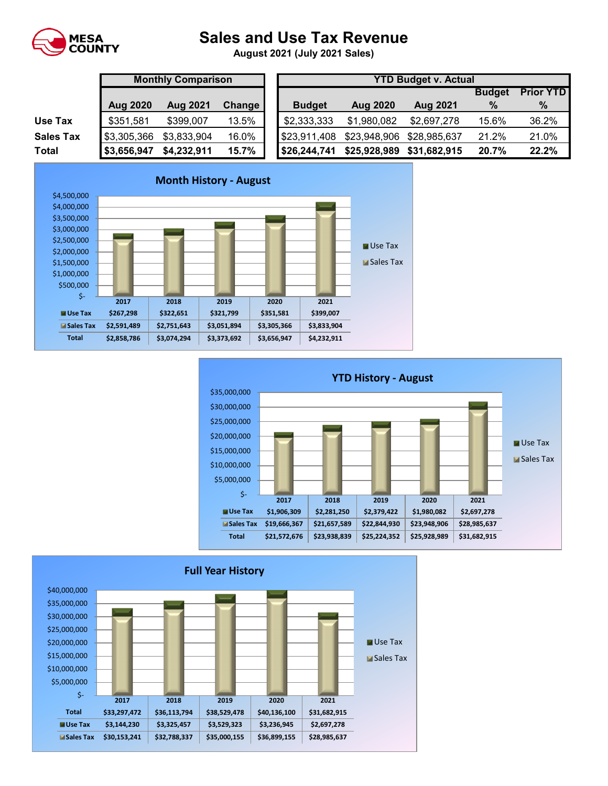

## **Sales and Use Tax Revenue**

**August 2021 (July 2021 Sales)** 

|                  | <b>Monthly Comparison</b> |                 |        |  | <b>YTD Budget v. Actual</b> |              |              |               |                  |  |  |  |
|------------------|---------------------------|-----------------|--------|--|-----------------------------|--------------|--------------|---------------|------------------|--|--|--|
|                  |                           |                 |        |  |                             |              |              | <b>Budget</b> | <b>Prior YTD</b> |  |  |  |
|                  | <b>Aug 2020</b>           | <b>Aug 2021</b> | Change |  | <b>Budget</b>               | Aug 2020     | Aug 2021     | $\%$          | %                |  |  |  |
| Use Tax          | \$351,581                 | \$399,007       | 13.5%  |  | \$2,333,333                 | \$1,980,082  | \$2,697,278  | 15.6%         | 36.2%            |  |  |  |
| <b>Sales Tax</b> | \$3,305,366               | \$3,833,904     | 16.0%  |  | \$23,911,408                | \$23,948,906 | \$28,985,637 | 21.2%         | 21.0%            |  |  |  |
| Total            | \$3,656,947               | \$4,232,911     | 15.7%  |  | $1$ \$26,244,741            | \$25,928,989 | \$31,682,915 | 20.7%         | 22.2%            |  |  |  |





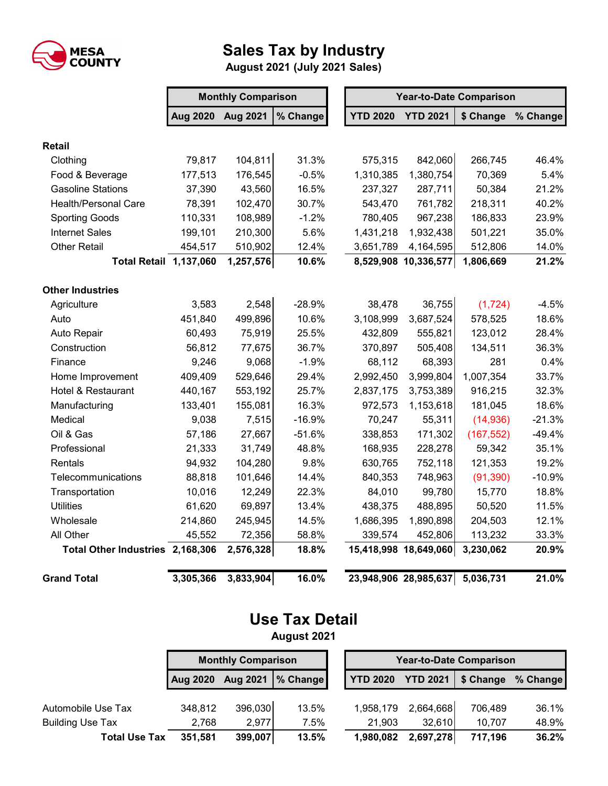

## **Sales Tax by Industry**

**August 2021 (July 2021 Sales)**

|                                  | <b>Monthly Comparison</b> |           |          |  | <b>Year-to-Date Comparison</b> |                       |            |          |  |  |
|----------------------------------|---------------------------|-----------|----------|--|--------------------------------|-----------------------|------------|----------|--|--|
|                                  | <b>Aug 2020</b>           | Aug 2021  | % Change |  | <b>YTD 2020</b>                | <b>YTD 2021</b>       | \$ Change  | % Change |  |  |
| <b>Retail</b>                    |                           |           |          |  |                                |                       |            |          |  |  |
| Clothing                         | 79,817                    | 104,811   | 31.3%    |  | 575,315                        | 842,060               | 266,745    | 46.4%    |  |  |
| Food & Beverage                  | 177,513                   | 176,545   | $-0.5%$  |  | 1,310,385                      | 1,380,754             | 70,369     | 5.4%     |  |  |
| <b>Gasoline Stations</b>         | 37,390                    | 43,560    | 16.5%    |  | 237,327                        | 287,711               | 50,384     | 21.2%    |  |  |
| <b>Health/Personal Care</b>      | 78,391                    | 102,470   | 30.7%    |  | 543,470                        | 761,782               | 218,311    | 40.2%    |  |  |
| <b>Sporting Goods</b>            | 110,331                   | 108,989   | $-1.2%$  |  | 780,405                        | 967,238               | 186,833    | 23.9%    |  |  |
| <b>Internet Sales</b>            | 199,101                   | 210,300   | 5.6%     |  | 1,431,218                      | 1,932,438             | 501,221    | 35.0%    |  |  |
| <b>Other Retail</b>              | 454,517                   | 510,902   | 12.4%    |  | 3,651,789                      | 4,164,595             | 512,806    | 14.0%    |  |  |
| <b>Total Retail 1,137,060</b>    |                           | 1,257,576 | 10.6%    |  |                                | 8,529,908 10,336,577  | 1,806,669  | 21.2%    |  |  |
| <b>Other Industries</b>          |                           |           |          |  |                                |                       |            |          |  |  |
| Agriculture                      | 3,583                     | 2,548     | $-28.9%$ |  | 38,478                         | 36,755                | (1, 724)   | $-4.5%$  |  |  |
| Auto                             | 451,840                   | 499,896   | 10.6%    |  | 3,108,999                      | 3,687,524             | 578,525    | 18.6%    |  |  |
| Auto Repair                      | 60,493                    | 75,919    | 25.5%    |  | 432,809                        | 555,821               | 123,012    | 28.4%    |  |  |
| Construction                     | 56,812                    | 77,675    | 36.7%    |  | 370,897                        | 505,408               | 134,511    | 36.3%    |  |  |
| Finance                          | 9,246                     | 9,068     | $-1.9%$  |  | 68,112                         | 68,393                | 281        | 0.4%     |  |  |
| Home Improvement                 | 409,409                   | 529,646   | 29.4%    |  | 2,992,450                      | 3,999,804             | 1,007,354  | 33.7%    |  |  |
| Hotel & Restaurant               | 440,167                   | 553,192   | 25.7%    |  | 2,837,175                      | 3,753,389             | 916,215    | 32.3%    |  |  |
| Manufacturing                    | 133,401                   | 155,081   | 16.3%    |  | 972,573                        | 1,153,618             | 181,045    | 18.6%    |  |  |
| Medical                          | 9,038                     | 7,515     | $-16.9%$ |  | 70,247                         | 55,311                | (14, 936)  | $-21.3%$ |  |  |
| Oil & Gas                        | 57,186                    | 27,667    | $-51.6%$ |  | 338,853                        | 171,302               | (167, 552) | $-49.4%$ |  |  |
| Professional                     | 21,333                    | 31,749    | 48.8%    |  | 168,935                        | 228,278               | 59,342     | 35.1%    |  |  |
| Rentals                          | 94,932                    | 104,280   | 9.8%     |  | 630,765                        | 752,118               | 121,353    | 19.2%    |  |  |
| Telecommunications               | 88,818                    | 101,646   | 14.4%    |  | 840,353                        | 748,963               | (91, 390)  | $-10.9%$ |  |  |
| Transportation                   | 10,016                    | 12,249    | 22.3%    |  | 84,010                         | 99,780                | 15,770     | 18.8%    |  |  |
| <b>Utilities</b>                 | 61,620                    | 69,897    | 13.4%    |  | 438,375                        | 488,895               | 50,520     | 11.5%    |  |  |
| Wholesale                        | 214,860                   | 245,945   | 14.5%    |  | 1,686,395                      | 1,890,898             | 204,503    | 12.1%    |  |  |
| All Other                        | 45,552                    | 72,356    | 58.8%    |  | 339,574                        | 452,806               | 113,232    | 33.3%    |  |  |
| Total Other Industries 2,168,306 |                           | 2,576,328 | 18.8%    |  |                                | 15,418,998 18,649,060 | 3,230,062  | 20.9%    |  |  |
| <b>Grand Total</b>               | 3,305,366                 | 3,833,904 | 16.0%    |  |                                | 23,948,906 28,985,637 | 5,036,731  | 21.0%    |  |  |

## **Use Tax Detail August 2021**

**Aug 2020 Aug 2021 % Change YTD 2020 YTD 2021 \$ Change % Change** Automobile Use Tax 348,812 396,030 13.5% 1,958,179 2,664,668 706,489 36.1% Building Use Tax 2,768 2,977 7.5% 21,903 32,610 10,707 48.9% **Total Use Tax 351,581 399,007 13.5% 1,980,082 2,697,278 717,196 36.2% Monthly Comparison Year-to-Date Comparison**